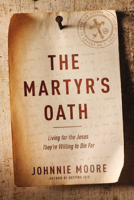# THE Creclaim **MARTYR'S** abundance OATH name Costs

now

me / com

for me to die is gain

**Living for the Jesus** They're Willing to Die For

**JOHNNIE MOORE AUTHOR OF DEFYING ISIS**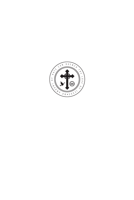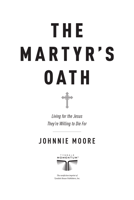# THE MARTYR'S OATH



*Living for the Jesus They're Willing to Die For*

# **JOHNNIE MOORE**



The nonfiction imprint of Tyndale House Publishers, Inc.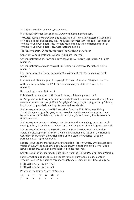Visit Tyndale online at www.tyndale.com.

Visit Tyndale Momentum online at www.tyndalemomentum.com.

*TYNDALE*, *Tyndale Momentum*, and Tyndale's quill logo are registered trademarks of Tyndale House Publishers, Inc. The Tyndale Momentum logo is a trademark of Tyndale House Publishers, Inc. Tyndale Momentum is the nonfiction imprint of Tyndale House Publishers, Inc., Carol Stream, Illinois.

*The Martyr's Oath: Living for the Jesus They're Willing to Die For*

Copyright © 2017 by Johnnie Moore. All rights reserved.

Cover illustrations of crown and dove copyright © Andrey/Lightstock. All rights reserved.

Cover illustration of cross copyright © Seamartini/Creative Market. All rights reserved.

Cover photograph of paper copyright © enviromantic/Getty Images. All rights reserved.

Interior illustrations of people copyright © Nicole Kaufman. All rights reserved.

Author photograph by The KAIROS Company, copyright © 2016. All rights reserved.

Designed by Jennifer Ghionzoli

Published in association with Yates & Yates, LLP (www.yates2.com).

All Scripture quotations, unless otherwise indicated, are taken from the Holy Bible, *New International Version*,® *NIV*.® Copyright © 1973, 1978, 1984, 2011 by Biblica, Inc.® Used by permission. All rights reserved worldwide.

Scripture quotations marked NLT are taken from the *Holy Bible*, New Living Translation, copyright © 1996, 2004, 2015 by Tyndale House Foundation. Used by permission of Tyndale House Publishers, Inc., Carol Stream, Illinois 60188. All rights reserved.

Scripture quotations marked NKIV are taken from the New King James Version.<sup>®</sup> copyright © 1982 by Thomas Nelson, Inc. Used by permission. All rights reserved.

Scripture quotations marked NRSV are taken from the New Revised Standard Version Bible, copyright © 1989, Division of Christian Education of the National Council of the Churches of Christ in the United States of America. Used by permission. All rights reserved.

Scripture quotations marked ESV are taken from *The Holy Bible*, English Standard Version® (ESV®), copyright © 2001 by Crossway, a publishing ministry of Good News Publishers. Used by permission. All rights reserved.

Scripture quotations marked KJV are taken from the *Holy Bible*, King James Version.

For information about special discounts for bulk purchases, please contact Tyndale House Publishers at csresponse@tyndale.com, or call 1-800-323-9400.

ISBN 978-1-4964-1945-3 (hc) ISBN 978-1-4964-1946-0 (sc)

Printed in the United States of America

23 22 21 20 19 18 17 7 6 5 4 3 2 1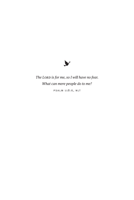

*The Lord is for me, so I will have no fear. What can mere people do to me?*

Psalm 118:6, nlt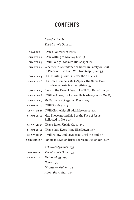# **CONTENTS**

#### *[Introduction ix](#page-9-0) [The Martyr's Oath xv](#page-15-0)*

|                      | CHAPTER 1 $\,$ I Am a Follower of Jesus 1                                                                     |
|----------------------|---------------------------------------------------------------------------------------------------------------|
|                      | CHAPTER 2 I Am Willing to Give My Life 13                                                                     |
|                      | CHAPTER 3 I Will Boldly Proclaim His Gospel 21                                                                |
|                      | CHAPTER 4 Whether in Abundance or Need, in Safety or Peril,<br>in Peace or Distress, I Will Not Keep Quiet 35 |
| CHAPTER <sub>5</sub> | His Unfailing Love Is Better than Life $47$                                                                   |
| СНАРТЕР 6            | His Grace Compels Me to Speak His Name Even<br>If His Name Costs Me Everything 57                             |
|                      | CHAPTER 7 Even in the Face of Death, I Will Not Deny Him 71                                                   |
|                      | CHAPTER 8 I Will Not Fear, for I Know He Is Always with Me 89                                                 |
| <b>CHAPTER 9</b>     | My Battle Is Not against Flesh 103                                                                            |
| <b>CHAPTER 10</b>    | I Will Forgive 113                                                                                            |
|                      | CHAPTER 11 I Will Clothe Myself with Meekness 123                                                             |
| <b>CHAPTER 12</b>    | May Those around Me See the Face of Jesus<br>Reflected in Me 137                                              |
|                      | CHAPTER 13 I Have Taken Up My Cross 155                                                                       |
| <b>CHAPTER 14</b>    | I Have Laid Everything Else Down 167                                                                          |
| <b>CHAPTER 15</b>    | I Will Follow and Love Jesus until the End 181                                                                |
| CONCLUSION           | For Me to Live Is Christ; For Me to Die Is Gain 187                                                           |
|                      | Acknowledgments 193                                                                                           |
| APPENDIX 1           | The Martyr's Oath 195                                                                                         |
|                      | APPENDIX 2 Methodology 197                                                                                    |
|                      | Notes 199                                                                                                     |
|                      | Discussion Guide 203                                                                                          |
|                      | About the Author 215                                                                                          |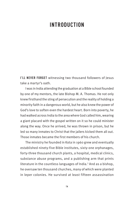## <span id="page-9-0"></span>**INTRODUCTION**

**I'LL NEVER FORGET** witnessing two thousand followers of Jesus take a martyr's oath.

I was in India attending the graduation at a Bible school founded by one of my mentors, the late Bishop M. A. Thomas. He not only knew firsthand the sting of persecution and the reality of holding a minority faith in a dangerous world, but he also knew the power of God's love to soften even the hardest heart. Born into poverty, he had walked across India to the area where God called him, wearing a giant placard with the gospel written on it so he could minister along the way. Once he arrived, he was thrown in prison, but he led so many inmates to Christ that the jailers kicked them all out. Those inmates became the first members of his church.

The ministry he founded in Kota in 1960 grew and eventually established ninety-five Bible institutes, sixty-one orphanages, forty-three thousand church plants, a hospital, medical clinics, substance abuse programs, and a publishing arm that prints literature in the countless languages of India.<sup>1</sup> And as a bishop, he oversaw ten thousand churches, many of which were planted in leper colonies. He survived at least fifteen assassination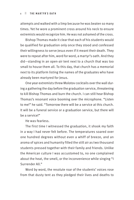attempts and walked with a limp because he was beaten so many times. Yet he wore a prominent cross around his neck to ensure extremists would recognize him. He was not ashamed of the cross.

Bishop Thomas made it clear that each of his students would be qualified for graduation only once they stood and confessed their willingness to serve Jesus even if it meant their death. They were to repeat after him, word for word, a martyr's oath. And they did—standing in an open-air tent next to a church that was too small to house them all. To this day, that church has a memorial next to its platform listing the names of the graduates who have already been martyred for Jesus.

One year extremists threw Molotov cocktails over the wall during a gathering the day before the graduation service, threatening to kill Bishop Thomas and burn the church. I can still hear Bishop Thomas's resonant voice booming over the microphone. "Listen to me!" he said. "Tomorrow there will be a service at this church. It will be a funeral service or a graduation service, but there will be a service!"

He was fearless.

The first time I witnessed the graduation, it shook my faith in a way I had never felt before. The temperatures soared over one hundred degrees without even a whiff of breeze, and an aroma of spices and humanity filled the still air as two thousand students pressed together with their family and friends. Unlike the American culture I was accustomed to, no one complained about the heat, the smell, or the inconvenience while singing "I Surrender All."

Word by word, the resolute roar of the students' voices rose from that dusty tent as they pledged their lives and deaths to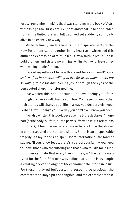Jesus. I remember thinking that I was standing in the book of Acts, witnessing a raw, first-century Christianity that I'd been shielded from in the United States. I felt deprived yet suddenly spiritually alive in an entirely new way.

My faith finally made sense. All the disparate parts of the New Testament came together in my heart as I witnessed this authentic expression of faith in Jesus. *Real* faith in Jesus. These bold brothers and sisters weren't just willing to live for Jesus; they were willing to die for him.

I asked myself—as I have a thousand times since—*Why are so few of us in America willing to live for Jesus when others are so willing to die for him?* Seeing Jesus through the eyes of the persecuted church transformed me.

I've written this book because I believe seeing your faith through their eyes will change you, too. My prayer for you is that their stories will change your life in a way you desperately need. Perhaps it will change you in a way you don't even know you need.

I've also written this book because the Bible declares, "If one part [of the body] suffers, all the parts suffer with it" (1 Corinthians 12:26, NLT). I feel like we barely care or barely know the stories of our persecuted brothers and sisters. Either is an unspeakable tragedy. As my friends at Open Doors International are fond of saying, "If you follow Jesus, there's a part of your family you need to know: those who are suffering and those who will die for Jesus."

Some estimate that every five minutes, a Christian is martyred for the faith.<sup>2</sup> For many, avoiding martyrdom is as simple as writing or even saying that they renounce their faith in Jesus. For these martyred believers, the gospel is so precious, the comfort of the Holy Spirit so tangible, and the example of those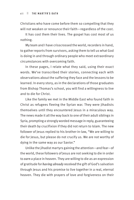Christians who have come before them so compelling that they will not weaken or renounce their faith—regardless of the cost.

It has cost them their lives. The gospel has cost most of us nothing.

My team and I have crisscrossed the world, recorders in hand, to gather reports from survivors, asking them to tell us what God is doing in and through ordinary people who meet extraordinary circumstances with overcoming faith.

In these pages, I relate what they said, using their exact words. We've transcribed their stories, connecting each with observations about the suffering they face and the lessons to be learned. In every story, as in the declarations of those graduates from Bishop Thomas's school, you will find a willingness to live and to die for Christ.

Like the family we met in the Middle East who found faith in Christ as refugees fleeing the Syrian war. They were jihadists themselves until they encountered Jesus in a miraculous way. The news made it all the way back to one of their adult siblings in Syria, prompting a strongly worded message in reply, guaranteeing their death by crucifixion if they did not return to Islam. The new follower of Jesus replied to his brother-in-law, "We are willing to die for Jesus, but please do not crucify us. We are not worthy of dying in the same way as our Savior."

Unlike the jihadist martyrs gaining the attention—and fear—of the world, these followers of Jesus are not seeking to die in order to *earn* a place in heaven. They are willing to die as an expression of gratitude for *having already received* the gift of God's salvation through Jesus and his promise to live together in a real, eternal heaven. They die with prayers of love and forgiveness on their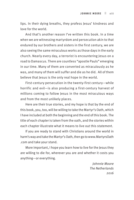lips. In their dying breaths, they profess Jesus' kindness and love for the world.

And that's another reason I've written this book. In a time when we are witnessing martyrdom and persecution akin to that endured by our brothers and sisters in the first century, we are also seeing the same miraculous works as those days in the early church. Nearly every day, a terrorist is encountering Jesus on a road to Damascus. There are countless "apostle Pauls" emerging in our time. Many of them are converted as miraculously as he was, and many of them will suffer and die as he did. All of them believe that Jesus is the only real hope in the world.

First-century persecution in the twenty-first century—while horrific and evil—is also producing a first-century harvest of millions coming to follow Jesus in the most miraculous ways and from the most unlikely places.

Here are their true stories, and my hope is that by the end of this book, you, too, will be willing to take the Martyr's Oath, which I have included at both the beginning and the end of this book. The title of each chapter is taken from the oath, and the stories within each chapter illustrate what it means to live out this statement.

If you are ready to stand with Christians around the world in harm's way and take the Martyr's Oath, then go to www.MartyrsOath .com and take your stand.

More important, I hope you learn how to live for the Jesus they are willing to die for, wherever you are and whether it costs you anything—or everything.

> *Johnnie Moore The Netherlands 2016*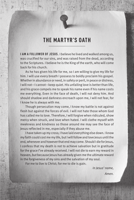### **THE MARTYR'S OATH**

<span id="page-15-0"></span>**I AM A FOLLOWER OF JESUS.** I believe he lived and walked among us, was crucified for our sins, and was raised from the dead, according to the Scriptures. I believe he is the King of the earth, who will come back for his church.

As he has given his life for me, so I am willing to give my life for him. I will use every breath I possess to boldly proclaim his gospel. Whether in abundance or need, in safety or peril, in peace or distress, I will not—I cannot—keep quiet. His unfailing love is better than life, and his grace compels me to speak his name even if his name costs me everything. Even in the face of death, I will not deny him. And should shadow and darkness encroach upon me, I will not fear, for I know he is always with me.

Though persecution may come, I know my battle is not against flesh but against the forces of evil. I will not hate those whom God has called me to love. Therefore, I will forgive when ridiculed, show mercy when struck, and love when hated. I will clothe myself with meekness and kindness so those around me may see the face of Jesus reflected in me, especially if they abuse me.

I have taken up my cross; I have laid everything else down. I know my faith could cost me my life, but I will follow and love Jesus until the end, whenever and however that end may come. Should I die for Jesus, I confess that my death is not to achieve salvation but in gratitude for the grace I've already received. I will not die to earn my reward in heaven, but because Jesus has already given me the ultimate reward in the forgiveness of my sins and the salvation of my soul.

For me to live is Christ; for me to die is gain.

*In Jesus' name, Amen.*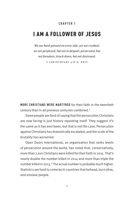#### **CHAPTER 1**

## <span id="page-17-0"></span>I AM A FOLLOWER OF JESUS

*We are hard-pressed on every side, yet not crushed; we are perplexed, but not in despair; persecuted, but not forsaken; struck down, but not destroyed.* 2 Corinthians 4:8-9, nkjv

**MORE CHRISTIANS WERE MARTYRED** for their faith in the twentieth century than in all previous centuries combined.1

Some people are fond of saying that the persecution Christians are now facing is just history repeating itself. They suggest it's the same as it has ever been, but that is not the case. Persecution against Christians has dramatically escalated, and the scale of the brutality has worsened.

Open Doors International, an organization that ranks levels of persecution around the world, has noted that, conservatively, more than 7,100 Christians were killed for their faith in 2015. That's nearly double the number killed in 2014 and more than triple the number killed in 2013.<sup>2</sup> The actual number is probably much higher. Statistics are hard to come by in countries that behead, burn alive, and enslave people.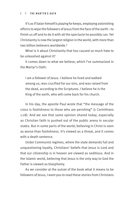#### 2 || **THE MARTYR 'S OATH**

It's as if Satan himself is playing for keeps, employing astonishing efforts to wipe the followers of Jesus from the face of the earth—to finish us off and to do it with all the spectacle he possibly can. Yet Christianity is now the largest religion in the world, with more than two billion believers worldwide.<sup>3</sup>

What is it about Christianity that has caused so much hate to be unleashed against it?

It comes down to what we believe, which I've summarized in the Martyr's Oath:

I am a follower of Jesus. I believe he lived and walked among us, was crucified for our sins, and was raised from the dead, according to the Scriptures. I believe he is the King of the earth, who will come back for his church.

In his day, the apostle Paul wrote that "the message of the cross is foolishness to those who are perishing" (1 Corinthians 1:18). And we see that same opinion shared today, especially as Christian faith is pushed out of the public arena in secular states. But in some parts of the world, believing in Christ is seen as worse than foolishness. It's viewed as a threat, and it comes with a death sentence.

Under Communist regimes, where the state demands full and unquestioning loyalty, Christians' beliefs that Jesus is Lord and that our citizenship is in heaven are viewed as seditious. And in the Islamic world, believing that Jesus is the only way to God the Father is viewed as blasphemy.

As we consider at the outset of the book what it means to be followers of Jesus, I want you to read these stories from Christians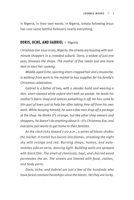in Nigeria, in their own words. In Nigeria, simply following Jesus has cost some faithful believers nearly everything.

#### DORIS, UCHE, AND GABRIEL || Nigeria

*Christmas Eve 2010 in Jos, Nigeria: the streets are buzzing with lastminute shoppers in a crowded suburb. Doris, a widow of just one year, browses the shops. The mother of five needs just one more item to start her cooking.*

*Middle-aged Uche, sporting short-cr opped hair and a mustache, is walking from work to the market to buy supplies for his family's Christmas celebration.*

*Gabriel is a father of two, with a slender build and wearing a thin, short-sleeved white oxford shirt with no pocket. He tends his mother's fabric shop and notices something is off. He has come to this part of town just to help her after taking time off from his own work. While busying himself, he sees a few men drop off a package at the shop. He thinks it's strange, but like other shop owners and shoppers, he doesn't do anything about it—it's Christmas Eve, and everyone just wants to get home to their families.*

*As the clock ticks toward 7:00 p.m., a series of blasts shakes the market. A transit bus bursts into flames, streaking the night sky with orange and red. Burning shops, homes, and automobiles add an eerie, dancing light. Building walls are sprayed with black film. The smell of chemicals, heat, and charred wood permeates the air. The streets are littered with food, clothes, and body parts.*

*Doris, Uche, and Gabriel are just a few of the hundreds who have faced constant hardships since the blasts. Yet they are lucky.*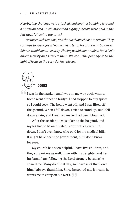#### 4 || **THE MARTYR 'S OATH**

*Nearby, two churches were attacked, and another bombing targeted a Christian area. In all, more than eighty funerals were held in the few days following the attack.*

*Yet the church remains, and the survivors choose to remain. They continue to speak Jesus' name and to tell of his grace with boldness. Silence would mean security. Fleeing would mean safety. But it isn't about security and safety to them. It's about the privilege to be the light of Jesus in the very darkest places.*



## **DORIS**

 $\blacksquare$  I was in the market, and I was on my way back when a bomb went off near a bridge. I had stopped to buy spices so I could cook. The bomb went off, and I was lifted off the ground. When I fell down, I tried to stand up. But I fell down again, and I realized my leg had been blown off.

After the accident, I was taken to the hospital, and my leg had to be amputated. Now I walk slowly. I fall down. I don't even know who paid for my medical bills. It might have been the government, but I don't know for sure.

My church has been helpful. I have five children, and they support me as well. I live with my daughter and her husband. I am following the Lord strongly because he spared me. Many died that day, so I have a lot that I owe him. I always thank him. Since he spared me, it means he wants me to carry on his work.  $\Box$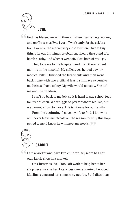

 $\degree$  God has blessed me with three children. I am a metalworker, and on Christmas Eve, I got off work early for the celebration. I went to the market very close to where I live to buy things for our Christmas celebration. I heard the sound of a bomb nearby, and when it went off, I lost both of my legs.

They took me to the hospital, and from there I spent months in the hospital. My colleagues helped pay my medical bills. I finished the treatments and then went back home with two artificial legs. I still have expensive medicines I have to buy. My wife would not stay. She left me and the children.

I can't go back to my job, so it is hard to pay school fees for my children. We struggle to pay for where we live, but we cannot afford to move. Life isn't easy for our family.

From the beginning, I gave my life to God. I know he will never leave me. Whatever the reason for why this happened to me, I know he will meet my needs."

# GABRIEL

I am a worker and have two children. My mom has her own fabric shop in a market.

On Christmas Eve, I took off work to help her at her shop because she had lots of customers coming. I noticed Muslims came and left something nearby. But I didn't pay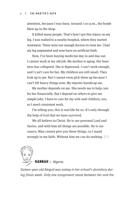#### 6 || **THE MARTYR 'S OATH**

attention, because I was busy. Around 7:00 p.m., the bomb blew up in the shop.

It killed many people. That's how I got this injury on my leg. I was rushed to a nearby hospital, where they started treatment. There were not enough doctors to treat me. I had my leg amputated and now have an artificial limb.

Now, I've been buying medicine day in and day out. I cannot work at my old job. My mother is aging. Her business has collapsed. She is depressed. I can't work enough, and I can't care for her. My children are still small. They look up to me. But I cannot even pick them up because I can't lift heavy things now. My injuries handicap me.

My mother depends on me. She needs me to help care for her financially. But I depend on others to give me simple jobs. I have to care for my wife and children, too, so I need consistent work.

I'm telling you, this is real life for us. It's only through the help of God that we have survived.

We all believe in Christ. He is our personal Lord and Savior, and with him all things are possible. He is our source. Man cannot give you these things, so I stand strongly in my faith. Without him we can do nothing.  $\Box$ 



HANNAH || Nigeria

*Sixteen-year-old Abigail was asleep in her school's dormitory during finals week. Only one assignment stood between her and the*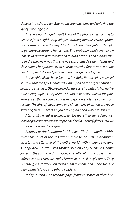*close of the school year. She would soon be home and enjoying the life of a teenage girl.*

*As she slept, Abigail didn't know of the phone calls coming to her area from neighboring villages, warning that the terrorist group Boko Haram was on the way. She didn't know of the failed attempts to get more security to her school. She probably didn't even know that Boko Haram had threatened to burn schools and kidnap children. All she knew was that she was surrounded by her friends and classmates, her parents lived nearby, security forces were outside her dorm, and she had just one more assignment to finish.*

*Today, Abigail has been featured in a Boko Haram video released to prove that the 276 schoolgirls kidnapped on the night of April 14, 2014, are still alive. Obviously under duress, she states in her native Hausa language, "Our parents should take heart. Talk to the government so that we can be allowed to go home. Please come to our rescue. The aircraft have come and killed many of us. We are really suffering here. There is no food to eat, no good water to drink."*

*A terrorist then takes to the screen to repeat their same demands, that the government release imprisoned Boko Haram fighters. "Or we will never release these girls."* 

*Reports of the kidnapped girls electrified the media within thirty- six hours of the assault on their school. The kidnapping arrested the attention of the entire world, with millions tweeting #BringBackOurGirls. Even former US First Lady Michelle Obama joined in the social-media advocacy. Yet all civilian and government efforts couldn't convince Boko Haram of the evil they'd done. They kept the girls, forcibly converted them to Islam, and made some of them sexual slaves and others soldiers.*

*Today, a "BBOG" Facebook page features scores of likes.4 An*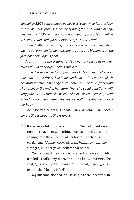#### 8 || **THE MARTYR 'S OATH**

*outspoken BBOG activist group helped elect a new Nigerian president whose campaign promises included finding the girls. With that hope dashed, the BBOG campaign continues staging protests and rallies to keep the vanished girls before the eyes of the world.*

*Hannah, Abigail's mother, has been in the news herself, criticizing the government for not rescuing the girls and blaming it on the fact that her village is poor.*

*Around 135 of the original girls have now escaped or been released. But not Abigail. She's still lost.*

*Hannah wears a head wrapper made of a bright geometric print that matches her dress. She holds her head upright and speaks in declarative statements tinged with defiance. She talks freely until she comes to the end of her story. Then she speaks wistfully, with long pauses. And then she weeps. She just weeps. She is grateful to God for the four children she has, yet nothing takes the place of her baby.*

*She is spirited. She is passionate. She is a mother. She is determined. She is hopeful. She is angry.5*

 $\mathcal{C}\mathcal{C}$  It was an awful night, April 14, 2014. We had no information, no idea, no news, nothing. We just heard gunshots coming from the direction of her boarding school. *Lord, my daughter!* All my knowledge, my brain, my head, my strength, my energy went out to that school.

We had heard they planned to attack schools and kidnap kids. I called my sister. She didn't know anything. She said, "Just give up for the night." But I said, "I [am] going to the school for my baby!"

My husband stopped me. He said, "There is security in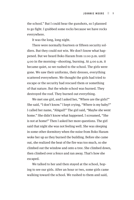the school." But I could hear the gunshots, so I planned to go fight. I grabbed some rocks because we have rocks everywhere.

It was the long, long night.

There were normally fourteen or fifteen security soldiers. But they could not win. We don't know what happened. But we heard Boko Haram from 11:00 p.m. until 4:00 in the morning—shooting, burning. At 4:00 a.m. it became quiet, so we rushed to the school. The girls were gone. We saw their uniforms, their dresses, everything scattered everywhere. We thought the girls had tried to escape or the security had rescued them or something of that nature. But the whole school was burned. They destroyed the roof. They burned out everything.

We met one girl, and I asked her, "Where are the girls?" She said, "I don't know." I kept crying, "Where is my baby?" I called her name, "Abigail!" The girl said, "Maybe she went home." She didn't know what happened. I screamed, "She is not at home!" Then I asked her more questions. The girl said that night she was not feeling well. She was sleeping in some other dormitory when the noise from Boko Haram woke her up as they burned the building. Before she came out, she realized the heat of the fire was too much, so she climbed out the window and onto a tree. She climbed down, then climbed over a fence and ran away. That's how she escaped.

We talked to her and then stayed at the school, hoping to see our girls. After an hour or two, some girls came walking toward the school. We rushed to them and said,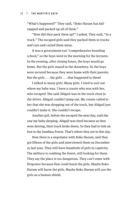"What's happened?" They said, "Boko Haram has kidnapped and packed up all of them."

"How did they pack them up?" I asked. They said, "In a truck." The escaped girls said they packed them in trucks and cars and carted them away.

It was a government-run "comprehensive boarding school," so the boys went in the morning for the lectures. In the evening, after closing hours, the boys would go home. But the girls stayed in the dormitory. So the boys were secured because they were home with their parents. But the girls . . . the girls . . . that happened to them!

I talked to many girls. Many girls. I tried to sort out where my baby was. I have a cousin who was with her, who escaped. She said Abigail was in the truck close to the driver. Abigail couldn't jump out. My cousin called to her that she was dropping out of the truck, but Abigail just couldn't make it. She couldn't escape.

Another girl, before she escaped the next day, said she saw my baby sleeping. Abigail was tired because as they were driving, their truck broke down. So they had to trek on foot to the Sambisa Forest. That's where they are to this day.

Now there is a negotiator with Boko Haram, and they got fifteen of the girls and interviewed them on December 25 last year. They still have hundreds of girls in captivity. The military is combing the forest, still looking for them. They say the place is too dangerous. They can't enter with firepower because that could harm the girls. Maybe Boko Haram will harm the girls. Maybe Boko Haram will use the girls as a human shield.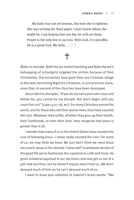My baby was not yet sixteen, but now she is eighteen. She was writing her final paper. I don't know where she might be. I am hoping that one day we will see them. Prayer is the only key to success. With God, it is possible. He is a great God. My baby  $\cdots$  .

Make no mistake. Both the Jos market bombing and Boko Haram's kidnapping of schoolgirls targeted the victims because of their Christianity. The extremists have gone from one Christian village to the next, terrorizing Nigeria's Christians. In one province alone, more than 70 percent of the churches have been destroyed.

Jesus tells his disciples, "If you do not carry your own cross and follow me, you cannot be my disciple. But don't begin until you count the cost" (Luke 14:27-28, NLT). For many Christians around the world, and for those who tell their stories here, they have counted the cost. Whatever they suffer, whether they give up their health, their livelihoods, or even their lives, they recognize that Jesus is greater than it all.

I wonder how many of us in the United States have counted the cost of following Jesus—I mean *really* counted the cost. For some of us, we may think we have. We just don't think we need Jesus very much. Jesus is the ultimate "value add" to whatever version of the good life we've fashioned, the capstone to a life well lived. He gives unilateral approval to our decisions and may get us out of a jam now and then, but he doesn't require much from us. We don't demand much of him, so he can't demand much of us.

I want to draw your attention to Gabriel's brave words: "We